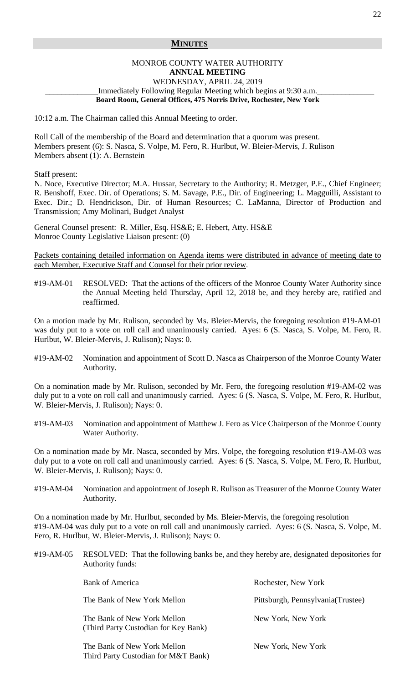## **MINUTES**

## MONROE COUNTY WATER AUTHORITY **ANNUAL MEETING**  WEDNESDAY, APRIL 24, 2019 Immediately Following Regular Meeting which begins at 9:30 a.m. **Board Room, General Offices, 475 Norris Drive, Rochester, New York**

10:12 a.m. The Chairman called this Annual Meeting to order.

Roll Call of the membership of the Board and determination that a quorum was present. Members present (6): S. Nasca, S. Volpe, M. Fero, R. Hurlbut, W. Bleier-Mervis, J. Rulison Members absent (1): A. Bernstein

Staff present:

N. Noce, Executive Director; M.A. Hussar, Secretary to the Authority; R. Metzger, P.E., Chief Engineer; R. Benshoff, Exec. Dir. of Operations; S. M. Savage, P.E., Dir. of Engineering; L. Magguilli, Assistant to Exec. Dir.; D. Hendrickson, Dir. of Human Resources; C. LaManna, Director of Production and Transmission; Amy Molinari, Budget Analyst

General Counsel present: R. Miller, Esq. HS&E; E. Hebert, Atty. HS&E Monroe County Legislative Liaison present: (0)

Packets containing detailed information on Agenda items were distributed in advance of meeting date to each Member, Executive Staff and Counsel for their prior review.

#19-AM-01 RESOLVED: That the actions of the officers of the Monroe County Water Authority since the Annual Meeting held Thursday, April 12, 2018 be, and they hereby are, ratified and reaffirmed.

On a motion made by Mr. Rulison, seconded by Ms. Bleier-Mervis, the foregoing resolution #19-AM-01 was duly put to a vote on roll call and unanimously carried. Ayes: 6 (S. Nasca, S. Volpe, M. Fero, R. Hurlbut, W. Bleier-Mervis, J. Rulison); Nays: 0.

#19-AM-02 Nomination and appointment of Scott D. Nasca as Chairperson of the Monroe County Water Authority.

On a nomination made by Mr. Rulison, seconded by Mr. Fero, the foregoing resolution #19-AM-02 was duly put to a vote on roll call and unanimously carried. Ayes: 6 (S. Nasca, S. Volpe, M. Fero, R. Hurlbut, W. Bleier-Mervis, J. Rulison); Nays: 0.

#19-AM-03 Nomination and appointment of Matthew J. Fero as Vice Chairperson of the Monroe County Water Authority.

On a nomination made by Mr. Nasca, seconded by Mrs. Volpe, the foregoing resolution #19-AM-03 was duly put to a vote on roll call and unanimously carried. Ayes: 6 (S. Nasca, S. Volpe, M. Fero, R. Hurlbut, W. Bleier-Mervis, J. Rulison); Nays: 0.

#19-AM-04 Nomination and appointment of Joseph R. Rulison as Treasurer of the Monroe County Water Authority.

On a nomination made by Mr. Hurlbut, seconded by Ms. Bleier-Mervis, the foregoing resolution #19-AM-04 was duly put to a vote on roll call and unanimously carried. Ayes: 6 (S. Nasca, S. Volpe, M. Fero, R. Hurlbut, W. Bleier-Mervis, J. Rulison); Nays: 0.

#19-AM-05 RESOLVED: That the following banks be, and they hereby are, designated depositories for Authority funds:

| <b>Bank of America</b>                                              | Rochester, New York                |
|---------------------------------------------------------------------|------------------------------------|
| The Bank of New York Mellon                                         | Pittsburgh, Pennsylvania (Trustee) |
| The Bank of New York Mellon<br>(Third Party Custodian for Key Bank) | New York, New York                 |
| The Bank of New York Mellon<br>Third Party Custodian for M&T Bank)  | New York, New York                 |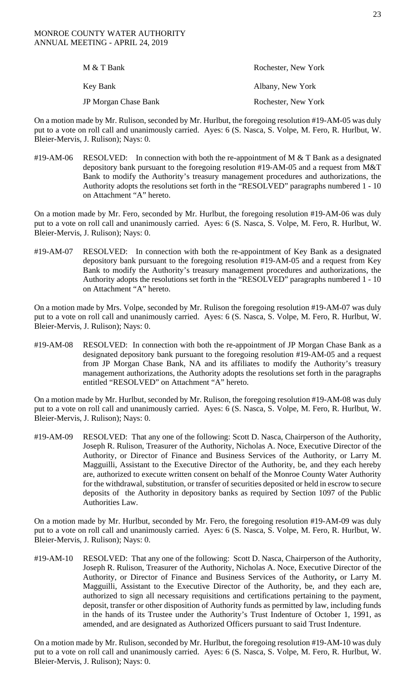| M & T Bank           | Rochester, New York |
|----------------------|---------------------|
| Key Bank             | Albany, New York    |
| JP Morgan Chase Bank | Rochester, New York |

On a motion made by Mr. Rulison, seconded by Mr. Hurlbut, the foregoing resolution #19-AM-05 was duly put to a vote on roll call and unanimously carried. Ayes: 6 (S. Nasca, S. Volpe, M. Fero, R. Hurlbut, W. Bleier-Mervis, J. Rulison); Nays: 0.

#19-AM-06 RESOLVED: In connection with both the re-appointment of M & T Bank as a designated depository bank pursuant to the foregoing resolution #19-AM-05 and a request from M&T Bank to modify the Authority's treasury management procedures and authorizations, the Authority adopts the resolutions set forth in the "RESOLVED" paragraphs numbered 1 - 10 on Attachment "A" hereto.

On a motion made by Mr. Fero, seconded by Mr. Hurlbut, the foregoing resolution #19-AM-06 was duly put to a vote on roll call and unanimously carried. Ayes: 6 (S. Nasca, S. Volpe, M. Fero, R. Hurlbut, W. Bleier-Mervis, J. Rulison); Nays: 0.

#19-AM-07 RESOLVED: In connection with both the re-appointment of Key Bank as a designated depository bank pursuant to the foregoing resolution #19-AM-05 and a request from Key Bank to modify the Authority's treasury management procedures and authorizations, the Authority adopts the resolutions set forth in the "RESOLVED" paragraphs numbered 1 - 10 on Attachment "A" hereto.

On a motion made by Mrs. Volpe, seconded by Mr. Rulison the foregoing resolution #19-AM-07 was duly put to a vote on roll call and unanimously carried. Ayes: 6 (S. Nasca, S. Volpe, M. Fero, R. Hurlbut, W. Bleier-Mervis, J. Rulison); Nays: 0.

#19-AM-08 RESOLVED: In connection with both the re-appointment of JP Morgan Chase Bank as a designated depository bank pursuant to the foregoing resolution #19-AM-05 and a request from JP Morgan Chase Bank, NA and its affiliates to modify the Authority's treasury management authorizations, the Authority adopts the resolutions set forth in the paragraphs entitled "RESOLVED" on Attachment "A" hereto.

On a motion made by Mr. Hurlbut, seconded by Mr. Rulison, the foregoing resolution #19-AM-08 was duly put to a vote on roll call and unanimously carried. Ayes: 6 (S. Nasca, S. Volpe, M. Fero, R. Hurlbut, W. Bleier-Mervis, J. Rulison); Nays: 0.

#19-AM-09 RESOLVED: That any one of the following: Scott D. Nasca, Chairperson of the Authority, Joseph R. Rulison, Treasurer of the Authority, Nicholas A. Noce, Executive Director of the Authority, or Director of Finance and Business Services of the Authority, or Larry M. Magguilli, Assistant to the Executive Director of the Authority, be, and they each hereby are, authorized to execute written consent on behalf of the Monroe County Water Authority for the withdrawal, substitution, or transfer of securities deposited or held in escrow to secure deposits of the Authority in depository banks as required by Section 1097 of the Public Authorities Law.

On a motion made by Mr. Hurlbut, seconded by Mr. Fero, the foregoing resolution #19-AM-09 was duly put to a vote on roll call and unanimously carried. Ayes: 6 (S. Nasca, S. Volpe, M. Fero, R. Hurlbut, W. Bleier-Mervis, J. Rulison); Nays: 0.

#19-AM-10 RESOLVED: That any one of the following: Scott D. Nasca, Chairperson of the Authority, Joseph R. Rulison, Treasurer of the Authority, Nicholas A. Noce, Executive Director of the Authority, or Director of Finance and Business Services of the Authority**,** or Larry M. Magguilli, Assistant to the Executive Director of the Authority, be, and they each are, authorized to sign all necessary requisitions and certifications pertaining to the payment, deposit, transfer or other disposition of Authority funds as permitted by law, including funds in the hands of its Trustee under the Authority's Trust Indenture of October 1, 1991, as amended, and are designated as Authorized Officers pursuant to said Trust Indenture.

On a motion made by Mr. Rulison, seconded by Mr. Hurlbut, the foregoing resolution #19-AM-10 was duly put to a vote on roll call and unanimously carried. Ayes: 6 (S. Nasca, S. Volpe, M. Fero, R. Hurlbut, W. Bleier-Mervis, J. Rulison); Nays: 0.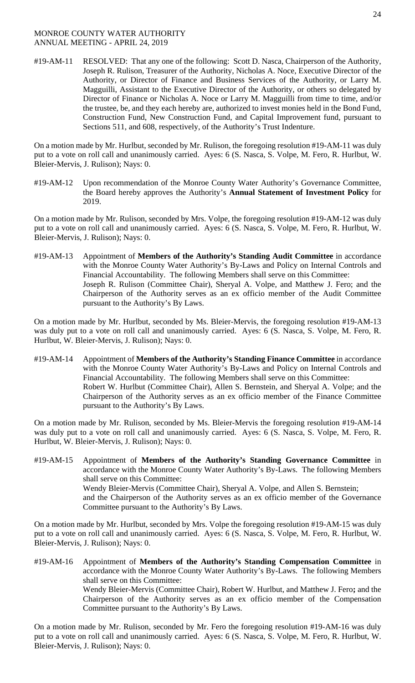#19-AM-11 RESOLVED: That any one of the following: Scott D. Nasca, Chairperson of the Authority, Joseph R. Rulison, Treasurer of the Authority, Nicholas A. Noce, Executive Director of the Authority, or Director of Finance and Business Services of the Authority, or Larry M. Magguilli, Assistant to the Executive Director of the Authority, or others so delegated by Director of Finance or Nicholas A. Noce or Larry M. Magguilli from time to time, and/or the trustee, be, and they each hereby are, authorized to invest monies held in the Bond Fund, Construction Fund, New Construction Fund, and Capital Improvement fund, pursuant to Sections 511, and 608, respectively, of the Authority's Trust Indenture.

On a motion made by Mr. Hurlbut, seconded by Mr. Rulison, the foregoing resolution #19-AM-11 was duly put to a vote on roll call and unanimously carried. Ayes: 6 (S. Nasca, S. Volpe, M. Fero, R. Hurlbut, W. Bleier-Mervis, J. Rulison); Nays: 0.

#19-AM-12 Upon recommendation of the Monroe County Water Authority's Governance Committee, the Board hereby approves the Authority's **Annual Statement of Investment Policy** for 2019.

On a motion made by Mr. Rulison, seconded by Mrs. Volpe, the foregoing resolution #19-AM-12 was duly put to a vote on roll call and unanimously carried. Ayes: 6 (S. Nasca, S. Volpe, M. Fero, R. Hurlbut, W. Bleier-Mervis, J. Rulison); Nays: 0.

#19-AM-13 Appointment of **Members of the Authority's Standing Audit Committee** in accordance with the Monroe County Water Authority's By-Laws and Policy on Internal Controls and Financial Accountability. The following Members shall serve on this Committee: Joseph R. Rulison (Committee Chair), Sheryal A. Volpe, and Matthew J. Fero; and the Chairperson of the Authority serves as an ex officio member of the Audit Committee pursuant to the Authority's By Laws.

On a motion made by Mr. Hurlbut, seconded by Ms. Bleier-Mervis, the foregoing resolution #19-AM-13 was duly put to a vote on roll call and unanimously carried. Ayes: 6 (S. Nasca, S. Volpe, M. Fero, R. Hurlbut, W. Bleier-Mervis, J. Rulison); Nays: 0.

#19-AM-14 Appointment of **Members of the Authority's Standing Finance Committee** in accordance with the Monroe County Water Authority's By-Laws and Policy on Internal Controls and Financial Accountability. The following Members shall serve on this Committee: Robert W. Hurlbut (Committee Chair), Allen S. Bernstein, and Sheryal A. Volpe; and the Chairperson of the Authority serves as an ex officio member of the Finance Committee pursuant to the Authority's By Laws.

On a motion made by Mr. Rulison, seconded by Ms. Bleier-Mervis the foregoing resolution #19-AM-14 was duly put to a vote on roll call and unanimously carried. Ayes: 6 (S. Nasca, S. Volpe, M. Fero, R. Hurlbut, W. Bleier-Mervis, J. Rulison); Nays: 0.

#19-AM-15 Appointment of **Members of the Authority's Standing Governance Committee** in accordance with the Monroe County Water Authority's By-Laws. The following Members shall serve on this Committee: Wendy Bleier-Mervis (Committee Chair), Sheryal A. Volpe, and Allen S. Bernstein; and the Chairperson of the Authority serves as an ex officio member of the Governance Committee pursuant to the Authority's By Laws.

On a motion made by Mr. Hurlbut, seconded by Mrs. Volpe the foregoing resolution #19-AM-15 was duly put to a vote on roll call and unanimously carried. Ayes: 6 (S. Nasca, S. Volpe, M. Fero, R. Hurlbut, W. Bleier-Mervis, J. Rulison); Nays: 0.

#19-AM-16 Appointment of **Members of the Authority's Standing Compensation Committee** in accordance with the Monroe County Water Authority's By-Laws. The following Members shall serve on this Committee: Wendy Bleier-Mervis (Committee Chair), Robert W. Hurlbut, and Matthew J. Fero**;** and the Chairperson of the Authority serves as an ex officio member of the Compensation Committee pursuant to the Authority's By Laws.

On a motion made by Mr. Rulison, seconded by Mr. Fero the foregoing resolution #19-AM-16 was duly put to a vote on roll call and unanimously carried. Ayes: 6 (S. Nasca, S. Volpe, M. Fero, R. Hurlbut, W. Bleier-Mervis, J. Rulison); Nays: 0.